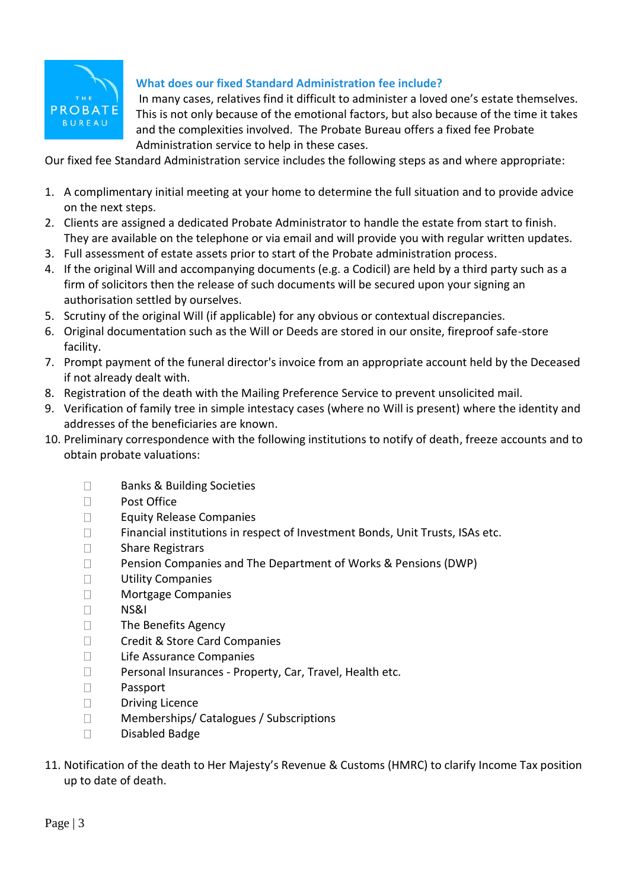

## **What does our fixed Standard Administration fee include?**

In many cases, relatives find it difficult to administer a loved one's estate themselves. This is not only because of the emotional factors, but also because of the time it takes and the complexities involved. The Probate Bureau offers a fixed fee Probate Administration service to help in these cases.

Our fixed fee Standard Administration service includes the following steps as and where appropriate:

- 1. A complimentary initial meeting at your home to determine the full situation and to provide advice on the next steps.
- 2. Clients are assigned a dedicated Probate Administrator to handle the estate from start to finish. They are available on the telephone or via email and will provide you with regular written updates.
- 3. Full assessment of estate assets prior to start of the Probate administration process.
- 4. If the original Will and accompanying documents (e.g. a Codicil) are held by a third party such as a firm of solicitors then the release of such documents will be secured upon your signing an authorisation settled by ourselves.
- 5. Scrutiny of the original Will (if applicable) for any obvious or contextual discrepancies.
- 6. Original documentation such as the Will or Deeds are stored in our onsite, fireproof safe-store facility.
- 7. Prompt payment of the funeral director's invoice from an appropriate account held by the Deceased if not already dealt with.
- 8. Registration of the death with the Mailing Preference Service to prevent unsolicited mail.
- 9. Verification of family tree in simple intestacy cases (where no Will is present) where the identity and addresses of the beneficiaries are known.
- 10. Preliminary correspondence with the following institutions to notify of death, freeze accounts and to obtain probate valuations:
	- $\Box$ Banks & Building Societies
	- $\Box$ Post Office
	- $\Box$ Equity Release Companies
	- $\Box$ Financial institutions in respect of Investment Bonds, Unit Trusts, ISAs etc.
	- $\Box$ Share Registrars
	- $\Box$ Pension Companies and The Department of Works & Pensions (DWP)
	- $\Box$ Utility Companies
	- $\Box$ Mortgage Companies
	- $\Box$ NS&I
	- $\Box$ The Benefits Agency
	- $\Box$ Credit & Store Card Companies
	- $\Box$ Life Assurance Companies
	- $\Box$ Personal Insurances - Property, Car, Travel, Health etc.
	- $\Box$ Passport
	- $\Box$ Driving Licence
	- Memberships/ Catalogues / Subscriptions  $\Box$
	- $\Box$ Disabled Badge
- 11. Notification of the death to Her Majesty's Revenue & Customs (HMRC) to clarify Income Tax position up to date of death.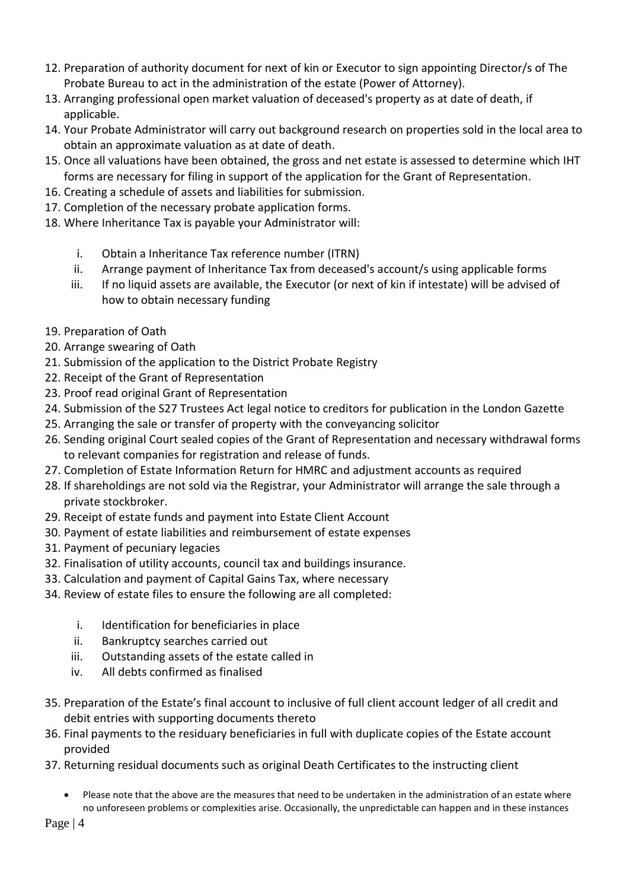- 12. Preparation of authority document for next of kin or Executor to sign appointing Director/s of The Probate Bureau to act in the administration of the estate (Power of Attorney).
- 13. Arranging professional open market valuation of deceased's property as at date of death, if applicable.
- 14. Your Probate Administrator will carry out background research on properties sold in the local area to obtain an approximate valuation as at date of death.
- 15. Once all valuations have been obtained, the gross and net estate is assessed to determine which IHT forms are necessary for filing in support of the application for the Grant of Representation.
- 16. Creating a schedule of assets and liabilities for submission.
- 17. Completion of the necessary probate application forms.
- 18. Where Inheritance Tax is payable your Administrator will:
	- i. Obtain a Inheritance Tax reference number (ITRN)
	- ii. Arrange payment of Inheritance Tax from deceased's account/s using applicable forms
	- iii. If no liquid assets are available, the Executor (or next of kin if intestate) will be advised of how to obtain necessary funding
- 19. Preparation of Oath
- 20. Arrange swearing of Oath
- 21. Submission of the application to the District Probate Registry
- 22. Receipt of the Grant of Representation
- 23. Proof read original Grant of Representation
- 24. Submission of the S27 Trustees Act legal notice to creditors for publication in the London Gazette
- 25. Arranging the sale or transfer of property with the conveyancing solicitor
- 26. Sending original Court sealed copies of the Grant of Representation and necessary withdrawal forms to relevant companies for registration and release of funds.
- 27. Completion of Estate Information Return for HMRC and adjustment accounts as required
- 28. If shareholdings are not sold via the Registrar, your Administrator will arrange the sale through a private stockbroker.
- 29. Receipt of estate funds and payment into Estate Client Account
- 30. Payment of estate liabilities and reimbursement of estate expenses
- 31. Payment of pecuniary legacies
- 32. Finalisation of utility accounts, council tax and buildings insurance.
- 33. Calculation and payment of Capital Gains Tax, where necessary
- 34. Review of estate files to ensure the following are all completed:
	- i. Identification for beneficiaries in place
	- ii. Bankruptcy searches carried out
	- iii. Outstanding assets of the estate called in
	- iv. All debts confirmed as finalised
- 35. Preparation of the Estate's final account to inclusive of full client account ledger of all credit and debit entries with supporting documents thereto
- 36. Final payments to the residuary beneficiaries in full with duplicate copies of the Estate account provided
- 37. Returning residual documents such as original Death Certificates to the instructing client
	- Please note that the above are the measures that need to be undertaken in the administration of an estate where no unforeseen problems or complexities arise. Occasionally, the unpredictable can happen and in these instances